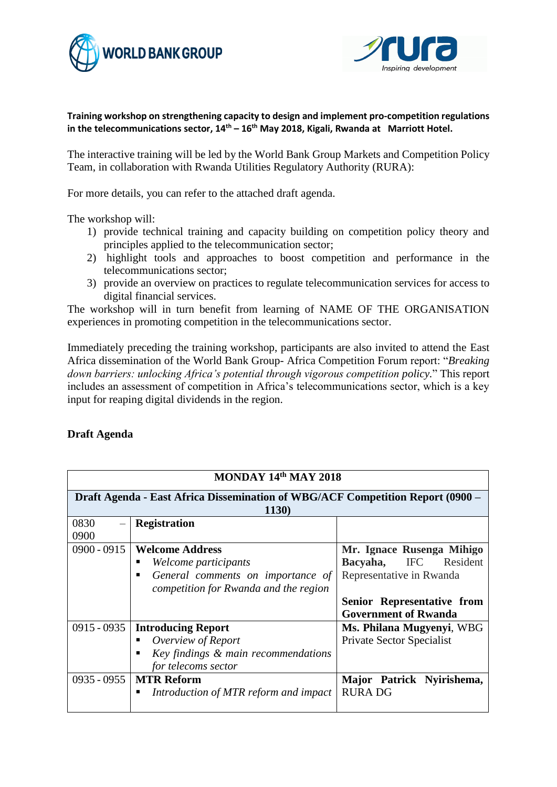



## **Training workshop on strengthening capacity to design and implement pro-competition regulations in the telecommunications sector, 14th – 16th May 2018, Kigali, Rwanda at Marriott Hotel.**

The interactive training will be led by the World Bank Group Markets and Competition Policy Team, in collaboration with Rwanda Utilities Regulatory Authority (RURA):

For more details, you can refer to the attached draft agenda.

The workshop will:

- 1) provide technical training and capacity building on competition policy theory and principles applied to the telecommunication sector;
- 2) highlight tools and approaches to boost competition and performance in the telecommunications sector;
- 3) provide an overview on practices to regulate telecommunication services for access to digital financial services.

The workshop will in turn benefit from learning of NAME OF THE ORGANISATION experiences in promoting competition in the telecommunications sector.

Immediately preceding the training workshop, participants are also invited to attend the East Africa dissemination of the World Bank Group- Africa Competition Forum report: "*Breaking down barriers: unlocking Africa's potential through vigorous competition policy.*" This report includes an assessment of competition in Africa's telecommunications sector, which is a key input for reaping digital dividends in the region.

## **Draft Agenda**

| MONDAY 14th MAY 2018                                                           |                                       |                                  |  |  |  |
|--------------------------------------------------------------------------------|---------------------------------------|----------------------------------|--|--|--|
| Draft Agenda - East Africa Dissemination of WBG/ACF Competition Report (0900 – |                                       |                                  |  |  |  |
| 1130)                                                                          |                                       |                                  |  |  |  |
| 0830                                                                           | <b>Registration</b>                   |                                  |  |  |  |
| 0900                                                                           |                                       |                                  |  |  |  |
| $0900 - 0915$                                                                  | <b>Welcome Address</b>                | Mr. Ignace Rusenga Mihigo        |  |  |  |
|                                                                                | Welcome participants                  | IFC<br>Resident<br>Bacyaha,      |  |  |  |
|                                                                                | General comments on importance of     | Representative in Rwanda         |  |  |  |
|                                                                                | competition for Rwanda and the region |                                  |  |  |  |
|                                                                                |                                       | Senior Representative from       |  |  |  |
|                                                                                |                                       | <b>Government of Rwanda</b>      |  |  |  |
| $0915 - 0935$                                                                  | <b>Introducing Report</b>             | Ms. Philana Mugyenyi, WBG        |  |  |  |
|                                                                                | Overview of Report                    | <b>Private Sector Specialist</b> |  |  |  |
|                                                                                | Key findings & main recommendations   |                                  |  |  |  |
|                                                                                | for telecoms sector                   |                                  |  |  |  |
| $0935 - 0955$                                                                  | <b>MTR Reform</b>                     | Major Patrick Nyirishema,        |  |  |  |
|                                                                                | Introduction of MTR reform and impact | <b>RURADG</b>                    |  |  |  |
|                                                                                |                                       |                                  |  |  |  |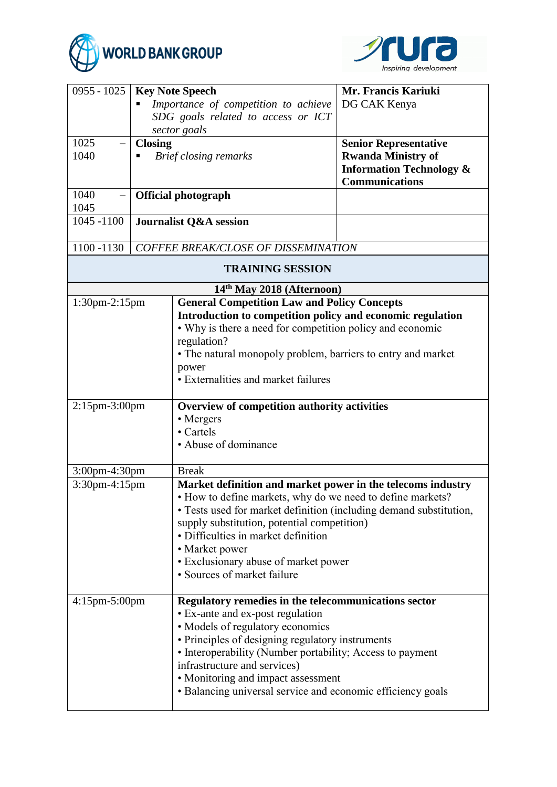



| $0955 - 1025$<br>1025<br>1040<br>1040<br>1045                                       | <b>Key Note Speech</b><br>Importance of competition to achieve<br>SDG goals related to access or ICT<br>sector goals<br><b>Closing</b><br>Brief closing remarks<br><b>Official photograph</b> |                                                                                                                                                                                                                                                                                                                                                                                    | Mr. Francis Kariuki<br>DG CAK Kenya<br><b>Senior Representative</b><br><b>Rwanda Ministry of</b><br><b>Information Technology &amp;</b><br><b>Communications</b> |  |
|-------------------------------------------------------------------------------------|-----------------------------------------------------------------------------------------------------------------------------------------------------------------------------------------------|------------------------------------------------------------------------------------------------------------------------------------------------------------------------------------------------------------------------------------------------------------------------------------------------------------------------------------------------------------------------------------|------------------------------------------------------------------------------------------------------------------------------------------------------------------|--|
| $\overline{1045} - 1100$                                                            | Journalist Q&A session                                                                                                                                                                        |                                                                                                                                                                                                                                                                                                                                                                                    |                                                                                                                                                                  |  |
| 1100 -1130<br><b>COFFEE BREAK/CLOSE OF DISSEMINATION</b><br><b>TRAINING SESSION</b> |                                                                                                                                                                                               |                                                                                                                                                                                                                                                                                                                                                                                    |                                                                                                                                                                  |  |
|                                                                                     |                                                                                                                                                                                               |                                                                                                                                                                                                                                                                                                                                                                                    |                                                                                                                                                                  |  |
| $1:30$ pm $-2:15$ pm                                                                |                                                                                                                                                                                               | 14 <sup>th</sup> May 2018 (Afternoon)<br><b>General Competition Law and Policy Concepts</b><br>Introduction to competition policy and economic regulation<br>• Why is there a need for competition policy and economic<br>regulation?<br>• The natural monopoly problem, barriers to entry and market<br>power<br>• Externalities and market failures                              |                                                                                                                                                                  |  |
| $2:15$ pm- $3:00$ pm                                                                |                                                                                                                                                                                               | Overview of competition authority activities<br>• Mergers<br>• Cartels<br>• Abuse of dominance                                                                                                                                                                                                                                                                                     |                                                                                                                                                                  |  |
| 3:00pm-4:30pm                                                                       |                                                                                                                                                                                               | <b>Break</b>                                                                                                                                                                                                                                                                                                                                                                       |                                                                                                                                                                  |  |
| 3:30pm-4:15pm                                                                       |                                                                                                                                                                                               | Market definition and market power in the telecoms industry<br>• How to define markets, why do we need to define markets?<br>• Tests used for market definition (including demand substitution,<br>supply substitution, potential competition)<br>· Difficulties in market definition<br>• Market power<br>• Exclusionary abuse of market power<br>• Sources of market failure     |                                                                                                                                                                  |  |
| $4:15$ pm $-5:00$ pm                                                                |                                                                                                                                                                                               | Regulatory remedies in the telecommunications sector<br>• Ex-ante and ex-post regulation<br>• Models of regulatory economics<br>• Principles of designing regulatory instruments<br>• Interoperability (Number portability; Access to payment<br>infrastructure and services)<br>• Monitoring and impact assessment<br>• Balancing universal service and economic efficiency goals |                                                                                                                                                                  |  |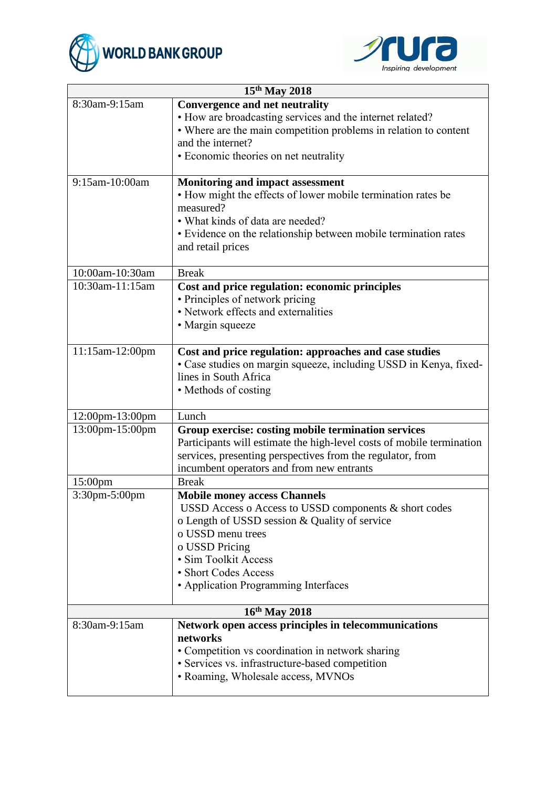



| 15 <sup>th</sup> May 2018 |                                                                                                     |  |
|---------------------------|-----------------------------------------------------------------------------------------------------|--|
| 8:30am-9:15am             | <b>Convergence and net neutrality</b><br>• How are broadcasting services and the internet related?  |  |
|                           | • Where are the main competition problems in relation to content                                    |  |
|                           | and the internet?                                                                                   |  |
|                           | • Economic theories on net neutrality                                                               |  |
| 9:15am-10:00am            | <b>Monitoring and impact assessment</b>                                                             |  |
|                           | • How might the effects of lower mobile termination rates be<br>measured?                           |  |
|                           | • What kinds of data are needed?                                                                    |  |
|                           | • Evidence on the relationship between mobile termination rates                                     |  |
|                           | and retail prices                                                                                   |  |
| 10:00am-10:30am           | <b>Break</b>                                                                                        |  |
| 10:30am-11:15am           | Cost and price regulation: economic principles                                                      |  |
|                           | • Principles of network pricing                                                                     |  |
|                           | • Network effects and externalities                                                                 |  |
|                           | · Margin squeeze                                                                                    |  |
| 11:15am-12:00pm           | Cost and price regulation: approaches and case studies                                              |  |
|                           | • Case studies on margin squeeze, including USSD in Kenya, fixed-                                   |  |
|                           | lines in South Africa                                                                               |  |
|                           | • Methods of costing                                                                                |  |
| 12:00pm-13:00pm           | Lunch                                                                                               |  |
| 13:00pm-15:00pm           | Group exercise: costing mobile termination services                                                 |  |
|                           | Participants will estimate the high-level costs of mobile termination                               |  |
|                           | services, presenting perspectives from the regulator, from                                          |  |
| 15:00pm                   | incumbent operators and from new entrants<br><b>Break</b>                                           |  |
| 3:30pm-5:00pm             | <b>Mobile money access Channels</b>                                                                 |  |
|                           | USSD Access o Access to USSD components & short codes                                               |  |
|                           | o Length of USSD session & Quality of service                                                       |  |
|                           | o USSD menu trees                                                                                   |  |
|                           | o USSD Pricing                                                                                      |  |
|                           | · Sim Toolkit Access                                                                                |  |
|                           | · Short Codes Access                                                                                |  |
|                           | • Application Programming Interfaces                                                                |  |
| 16th May 2018             |                                                                                                     |  |
| 8:30am-9:15am             | Network open access principles in telecommunications                                                |  |
|                           | networks                                                                                            |  |
|                           | • Competition vs coordination in network sharing<br>• Services vs. infrastructure-based competition |  |
|                           | · Roaming, Wholesale access, MVNOs                                                                  |  |
|                           |                                                                                                     |  |